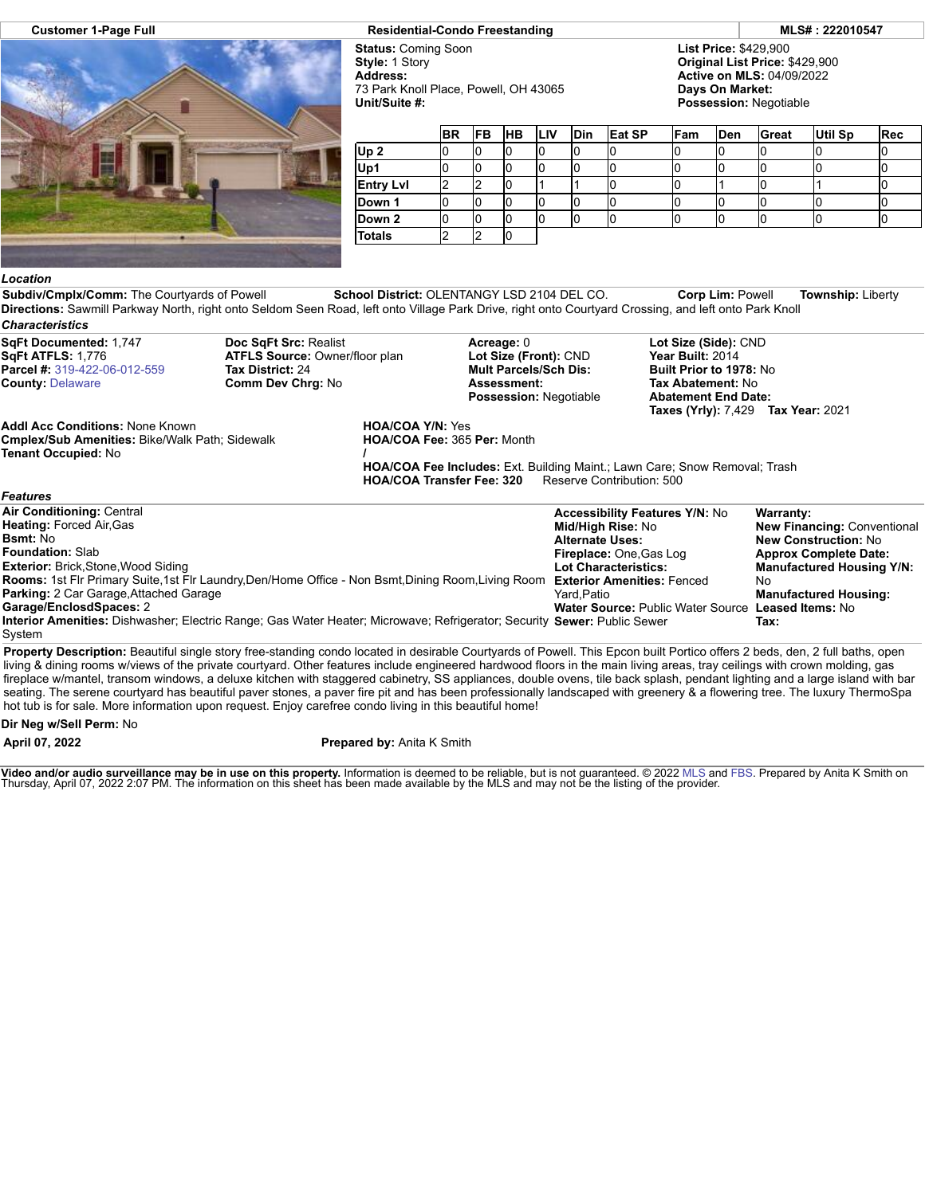

## **Customer 1-Page Full Residential-Condo Freestanding MLS# : 222010547**

**Status:** Coming Soon **Style:** 1 Story **Address:** 73 Park Knoll Place, Powell, OH 43065 **Unit/Suite #:**

**List Price:** \$429,900 **Original List Price:** \$429,900 **Active on MLS:** 04/09/2022 **Days On Market: Possession:** Negotiable

|                  | <b>BR</b> | <b>FB</b> | <b>HB</b> | <b>LIV</b> | <b>Din</b> | <b>Eat SP</b> | Fam | <b>Den</b> | Great | <b>Util Sp</b> | <b>Rec</b> |
|------------------|-----------|-----------|-----------|------------|------------|---------------|-----|------------|-------|----------------|------------|
| Up <sub>2</sub>  |           |           |           |            |            |               |     |            |       |                |            |
| Up1              |           |           |           |            |            |               |     |            |       |                |            |
| <b>Entry LvI</b> |           |           |           |            |            |               |     |            |       |                |            |
| Down 1           |           |           |           |            |            |               |     |            |       |                |            |
| Down 2           |           |           |           |            |            |               |     |            |       |                |            |
| <b>Totals</b>    |           |           |           |            |            |               |     |            |       |                |            |

## *Location*

*Features*

**Subdiv/Cmplx/Comm:** The Courtyards of Powell **School District:** OLENTANGY LSD 2104 DEL CO. **Corp Lim:** Powell **Township:** Liberty **Directions:** Sawmill Parkway North, right onto Seldom Seen Road, left onto Village Park Drive, right onto Courtyard Crossing, and left onto Park Knoll *Characteristics*

**SqFt Documented:** 1,747 **SqFt ATFLS:** 1,776 **Parcel #:** [319-422-06-012-559](https://cr.flexmls.com/cgi-bin/mainmenu.cgi?cmd=srv+common/thirdparty/c3pi/populate.html&app=7d0939ae88fc42f8917cb9cd8bc644fc&listing=20220406194309151410000000&type=detail) **County:** [Delaware](http://www.columbusmls.net/tempoforward/forward.php?&county=Delaware&parcel=319-422-06-012-559)

**Doc SqFt Src:** Realist **ATFLS Source:** Owner/floor plan **Tax District:** 24 **Comm Dev Chrg:** No

**Acreage:** 0 **Lot Size (Front):** CND **Mult Parcels/Sch Dis: Assessment: Possession:** Negotiable **Lot Size (Side):** CND **Year Built:** 2014 **Built Prior to 1978:** No **Tax Abatement:** No **Abatement End Date: Taxes (Yrly):** 7,429 **Tax Year:** 2021

**Addl Acc Conditions:** None Known **Cmplex/Sub Amenities:** Bike/Walk Path; Sidewalk **Tenant Occupied:** No

**HOA/COA Y/N:** Yes **HOA/COA Fee:** 365 **Per:** Month **/**

**HOA/COA Fee Includes:** Ext. Building Maint.; Lawn Care; Snow Removal; Trash **HOA/COA Transfer Fee: 320** 

| <b>Air Conditioning: Central</b>                                                                                        | <b>Accessibility Features Y/N: No</b>              | Warranty:                          |
|-------------------------------------------------------------------------------------------------------------------------|----------------------------------------------------|------------------------------------|
| <b>Heating: Forced Air, Gas</b>                                                                                         | <b>Mid/High Rise: No</b>                           | <b>New Financing: Conventional</b> |
| <b>Bsmt: No</b>                                                                                                         | <b>Alternate Uses:</b>                             | <b>New Construction: No</b>        |
| <b>Foundation: Slab</b>                                                                                                 | <b>Fireplace: One, Gas Log</b>                     | <b>Approx Complete Date:</b>       |
| <b>Exterior: Brick, Stone, Wood Siding</b>                                                                              | <b>Lot Characteristics:</b>                        | <b>Manufactured Housing Y/N:</b>   |
| Rooms: 1st Fir Primary Suite, 1st Fir Laundry, Den/Home Office - Non Bsmt, Dining Room, Living Room                     | <b>Exterior Amenities: Fenced</b>                  | No                                 |
| <b>Parking: 2 Car Garage, Attached Garage</b>                                                                           | Yard Patio                                         | <b>Manufactured Housing:</b>       |
| Garage/EnclosdSpaces: 2                                                                                                 | Water Source: Public Water Source Leased Items: No |                                    |
| Interior Amenities: Dishwasher; Electric Range; Gas Water Heater; Microwave; Refrigerator; Security Sewer: Public Sewer |                                                    | Tax:                               |
| System                                                                                                                  |                                                    |                                    |

**Property Description:** Beautiful single story free-standing condo located in desirable Courtyards of Powell. This Epcon built Portico offers 2 beds, den, 2 full baths, open living & dining rooms w/views of the private courtyard. Other features include engineered hardwood floors in the main living areas, tray ceilings with crown molding, gas fireplace w/mantel, transom windows, a deluxe kitchen with staggered cabinetry, SS appliances, double ovens, tile back splash, pendant lighting and a large island with bar seating. The serene courtyard has beautiful paver stones, a paver fire pit and has been professionally landscaped with greenery & a flowering tree. The luxury ThermoSpa hot tub is for sale. More information upon request. Enjoy carefree condo living in this beautiful home!

## **Dir Neg w/Sell Perm:** No

**April 07, 2022 Prepared by:** Anita K Smith

**Video and/or audio surveillance may be in use on this property.** Information is deemed to be reliable, but is not guaranteed. © 2022 [MLS](http://www.columbusrealtors.com/) and [FBS](http://www.flexmls.com/copyright_notice.html?2). Prepared by Anita K Smith on<br>Thursday, April 07, 2022 2:07 PM. The informat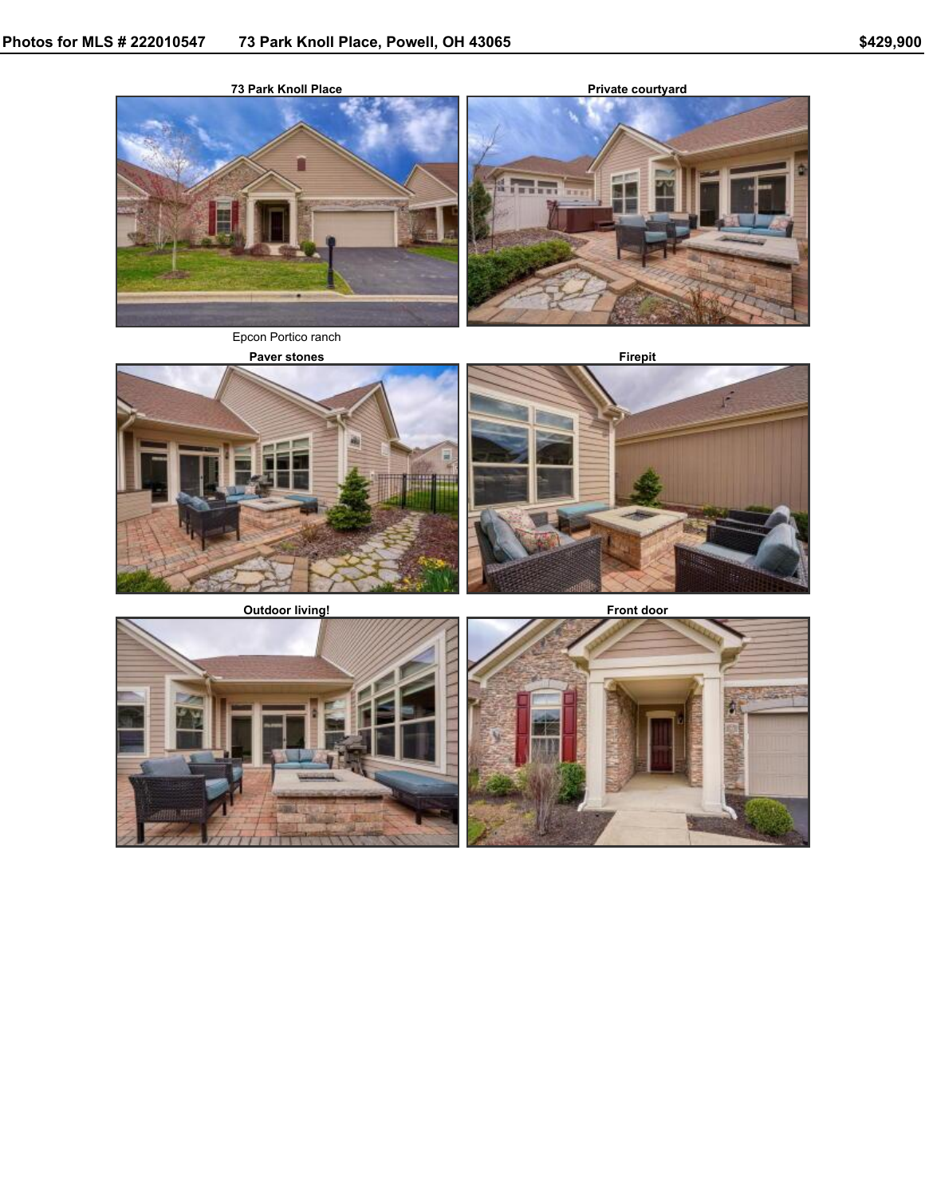

Epcon Portico ranch

**Paver stones Firepit**



**Outdoor living! Front door**





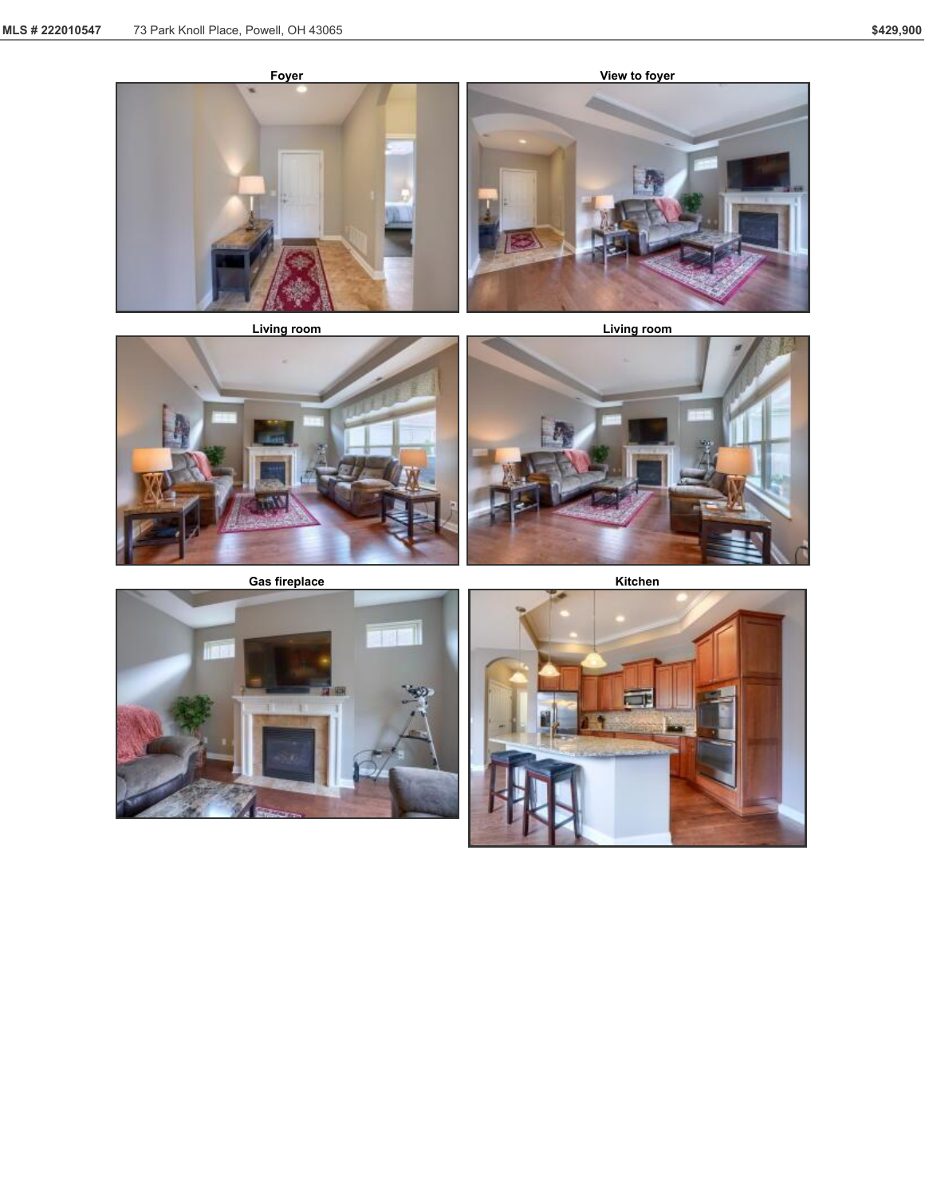





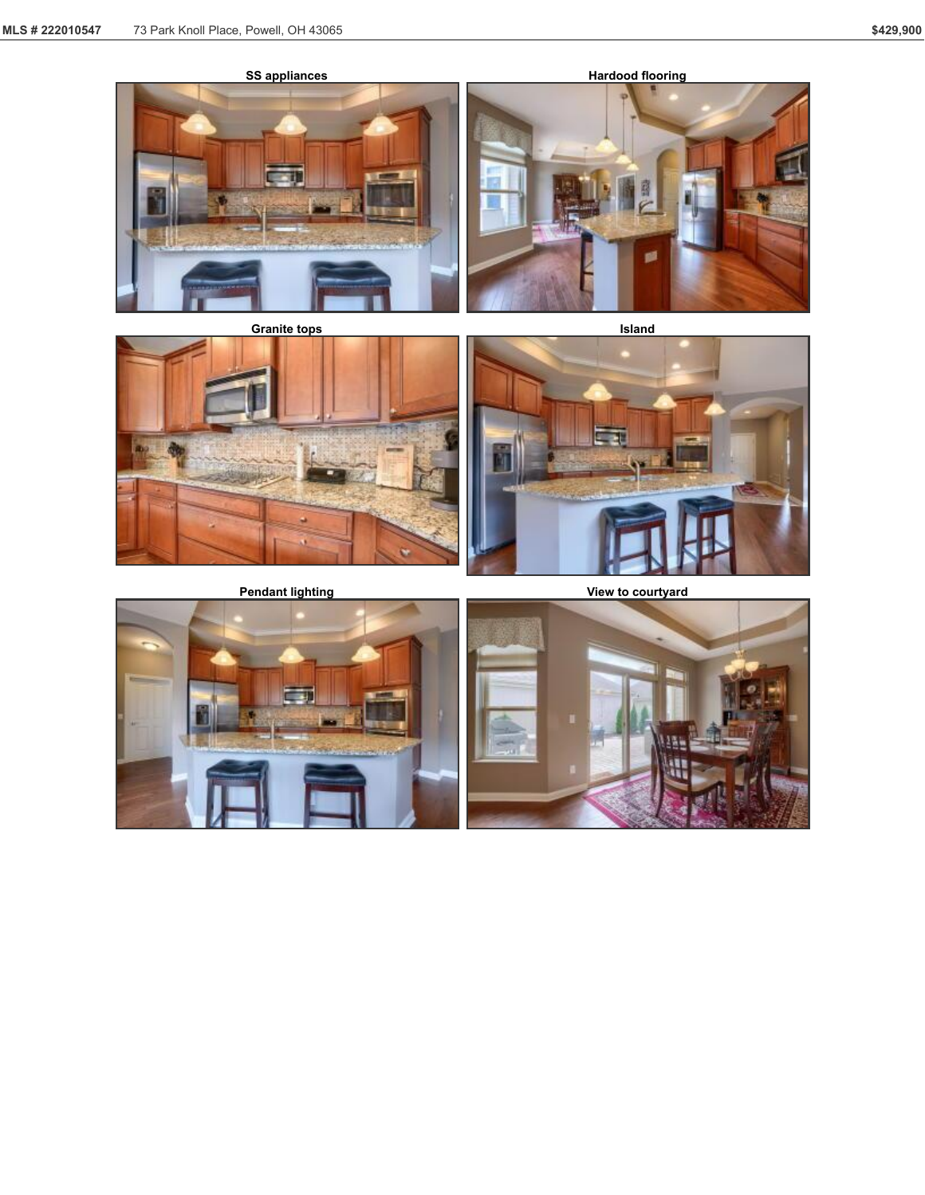



**Pendant lighting View to courtyard**

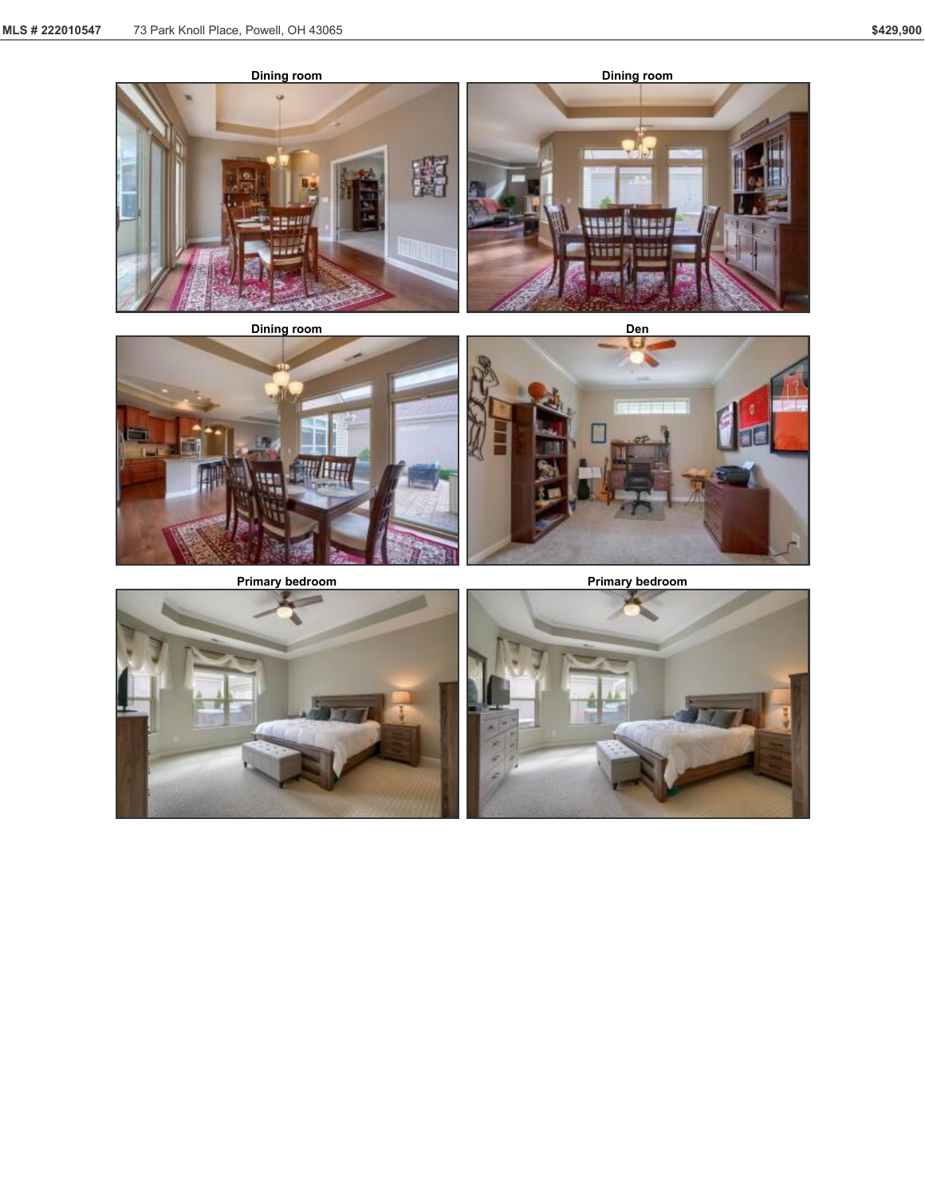





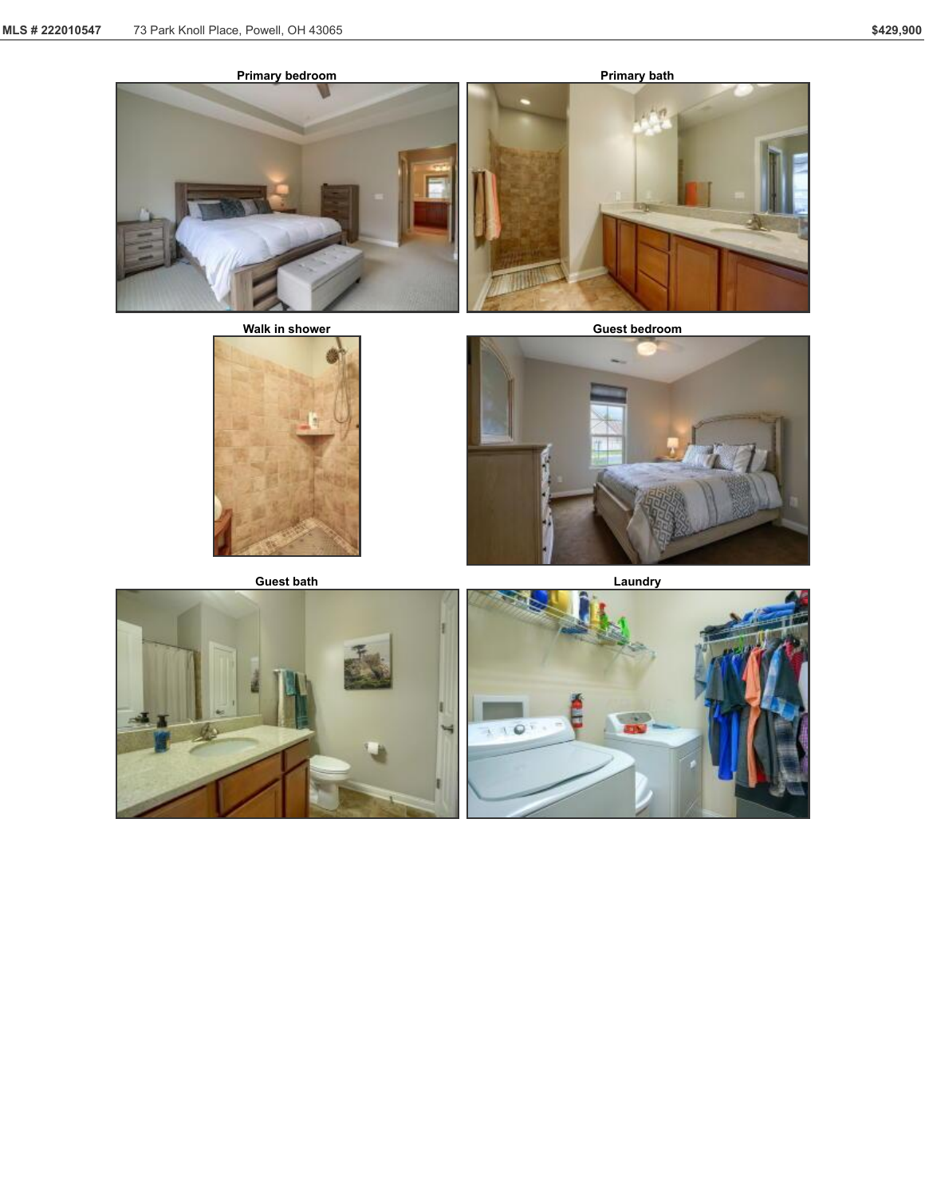





**Walk** in shower **Guest Guest bedroom** 







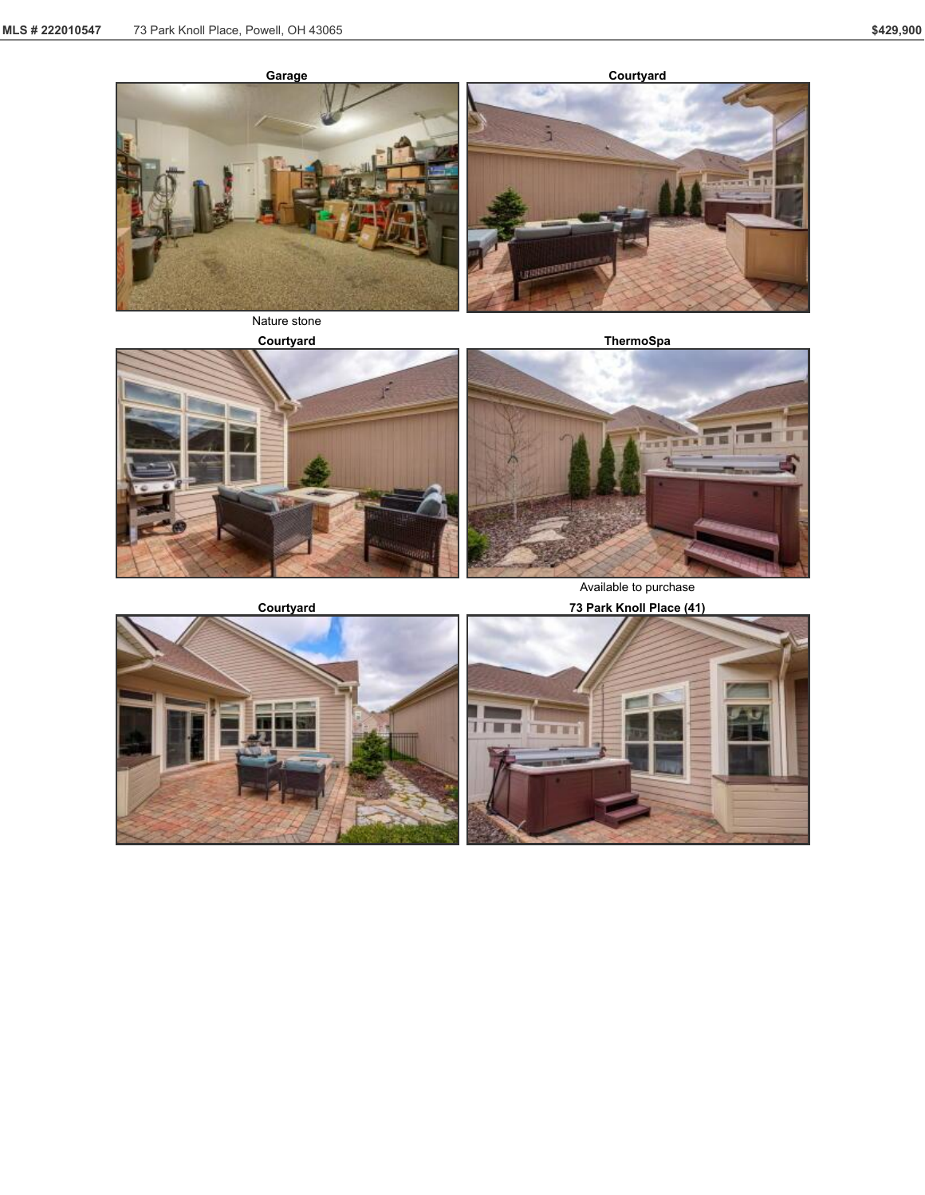

**Courtyard**



Nature stone





Available to purchase